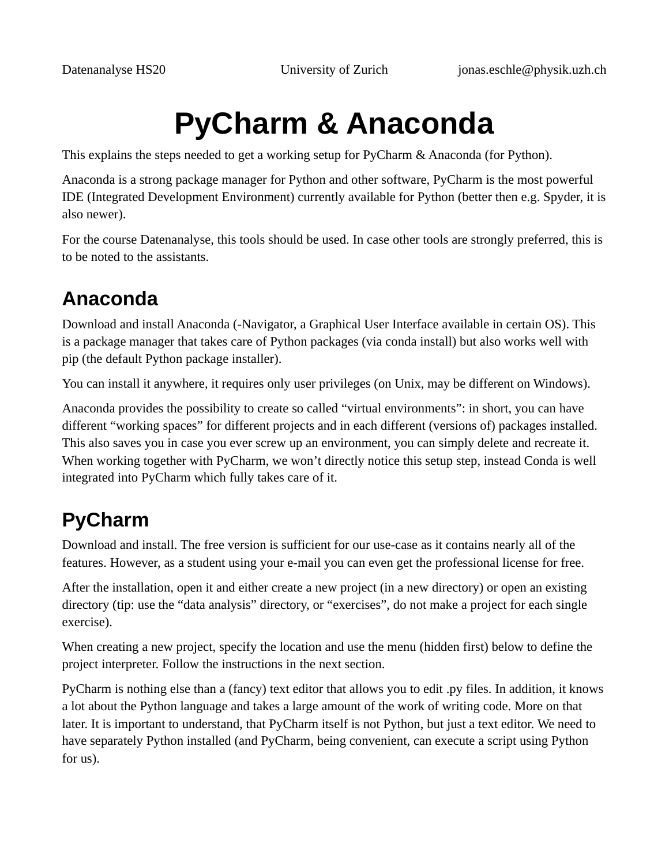# **PyCharm & Anaconda**

This explains the steps needed to get a working setup for PyCharm & Anaconda (for Python).

Anaconda is a strong package manager for Python and other software, PyCharm is the most powerful IDE (Integrated Development Environment) currently available for Python (better then e.g. Spyder, it is also newer).

For the course Datenanalyse, this tools should be used. In case other tools are strongly preferred, this is to be noted to the assistants.

## **Anaconda**

Download and install Anaconda (-Navigator, a Graphical User Interface available in certain OS). This is a package manager that takes care of Python packages (via conda install) but also works well with pip (the default Python package installer).

You can install it anywhere, it requires only user privileges (on Unix, may be different on Windows).

Anaconda provides the possibility to create so called "virtual environments": in short, you can have different "working spaces" for different projects and in each different (versions of) packages installed. This also saves you in case you ever screw up an environment, you can simply delete and recreate it. When working together with PyCharm, we won't directly notice this setup step, instead Conda is well integrated into PyCharm which fully takes care of it.

## **PyCharm**

Download and install. The free version is sufficient for our use-case as it contains nearly all of the features. However, as a student using your e-mail you can even get the professional license for free.

After the installation, open it and either create a new project (in a new directory) or open an existing directory (tip: use the "data analysis" directory, or "exercises", do not make a project for each single exercise).

When creating a new project, specify the location and use the menu (hidden first) below to define the project interpreter. Follow the instructions in the next section.

PyCharm is nothing else than a (fancy) text editor that allows you to edit .py files. In addition, it knows a lot about the Python language and takes a large amount of the work of writing code. More on that later. It is important to understand, that PyCharm itself is not Python, but just a text editor. We need to have separately Python installed (and PyCharm, being convenient, can execute a script using Python for us).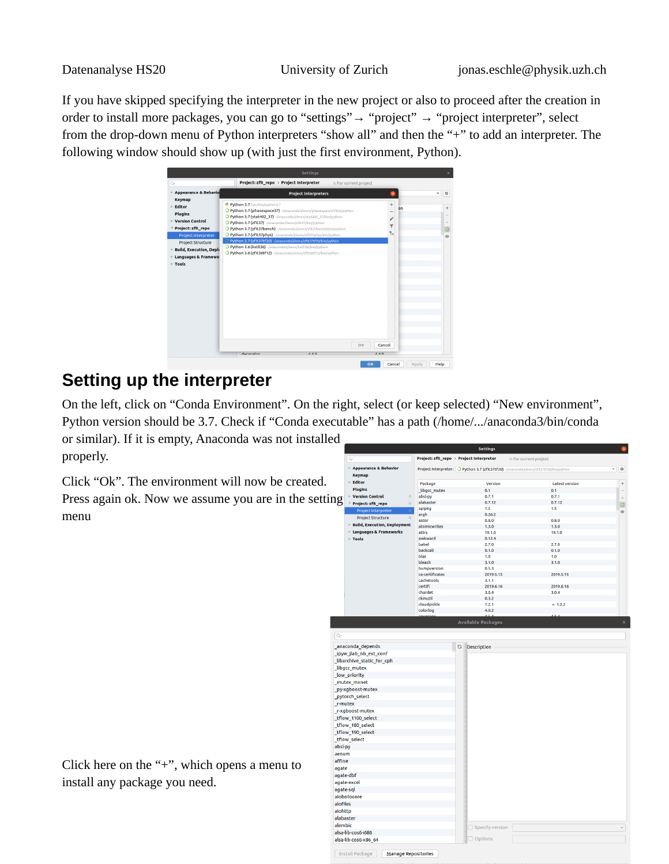If you have skipped specifying the interpreter in the new project or also to proceed after the creation in order to install more packages, you can go to "settings"→ "project" → "project interpreter", select from the drop-down menu of Python interpreters "show all" and then the "+" to add an interpreter. The following window should show up (with just the first environment, Python).

|                                                                                                                                                                                                                                                                       |                                                                                                                                                                                                                                                                                                                                                                                                                                                                                                                                                                                     | <b>Settings</b>             |                                  |                            |                              |
|-----------------------------------------------------------------------------------------------------------------------------------------------------------------------------------------------------------------------------------------------------------------------|-------------------------------------------------------------------------------------------------------------------------------------------------------------------------------------------------------------------------------------------------------------------------------------------------------------------------------------------------------------------------------------------------------------------------------------------------------------------------------------------------------------------------------------------------------------------------------------|-----------------------------|----------------------------------|----------------------------|------------------------------|
| $Q*$<br>Appearance & Behavio                                                                                                                                                                                                                                          | Project: zfit_repo > Project Interpreter                                                                                                                                                                                                                                                                                                                                                                                                                                                                                                                                            | <b>Project Interpreters</b> | the For current project          | ×                          | ☆<br>$\overline{\mathbf{v}}$ |
| <b>Keymap</b><br>$\triangleright$ Editor<br><b>Plugins</b><br>$\triangleright$ Version Control<br>Project: zfit_repo<br>Project Interpreter<br><b>Project Structure</b><br><b>Build, Execution, Depli</b><br><b>Languages &amp; Framewo</b><br>$\triangleright$ Tools | Python 3.7 /usr/bin/python3.7<br>O Python 3.7 (phasespace37) -/anaconda3/envs/phasespace37/bin/python<br>O Python 3.7 (stat402 37) ~/anaconda3/envs/stat402_37/bin/python<br>O Python 3.7 (zfit37) ~/anaconda3/envs/zfit37/bin/python<br>O Python 3.7 (zfit37bench) ~/anaconda3/envs/zfit37bench/bin/python<br>O Python 3.7 (zfit37phys) ~/anaconda3/envs/zfit37phys/bin/python<br>Python 3.7 (zfit37tf20) -/anaconda3/envs/zfit37tf20/bin/python<br>O Python 3.6 (kstll36) -/anaconda3/envs/kstll36/bin/python<br>O Python 3.6 (zfit36tf12) ~/anaconda3/envs/zfit36tf12/bin/python |                             |                                  | $\ddot{}$<br>on<br>۳<br>t. |                              |
|                                                                                                                                                                                                                                                                       | decorator                                                                                                                                                                                                                                                                                                                                                                                                                                                                                                                                                                           | $A$ $A$ $D$                 | OK<br>$\Delta$ $\Delta$ $\Omega$ | Cancel                     |                              |

#### **Setting up the interpreter**

On the left, click on "Conda Environment". On the right, select (or keep selected) "New environment", Python version should be 3.7. Check if "Conda executable" has a path (/home/.../anaconda3/bin/conda or similar). If it is empty, Anaconda was not installed

properly.

Click "Ok". The environment will now be created. Press again ok. Now we assume you are in the setting menu

|           | Q.                                 |                       | Project: zfit_repo > Project Interpreter                                              | <sup>®</sup> For current project |                |
|-----------|------------------------------------|-----------------------|---------------------------------------------------------------------------------------|----------------------------------|----------------|
|           | Appearance & Behavior              |                       | Project Interpreter: O Python 3.7 (zfit37tf20) ~/anaconda3/envs/zfit37tf20/bin/python |                                  | - 0            |
|           | <b>Keymap</b>                      |                       |                                                                                       |                                  |                |
|           | $\triangleright$ Editor            | Package               | Version                                                                               | <b>Latest version</b>            | $\ddot{}$      |
|           | <b>Plugins</b>                     | libgcc_mutex          | 0.1                                                                                   | 0.1                              |                |
|           | ▶ Version Control<br>$\mathbb{R}$  | absl-py               | 0.7.1                                                                                 | 0.7.1                            | $\overline{a}$ |
| ng        | Project: zfit_repo<br>$\Box$       | alabaster             | 0.7.12                                                                                | 0.7.12                           | $\circ$        |
|           | <b>Project Interpreter</b>         | apipkg                | 1.5                                                                                   | 1.5                              | $\odot$        |
|           | <b>Project Structure</b><br>$\Box$ | argh                  | 0.26.2                                                                                |                                  |                |
|           | Build, Execution, Deployment       | astor<br>atomicwrites | 0.8.0<br>1.3.0                                                                        | 0.8.0<br>1.3.0                   |                |
|           | ▶ Languages & Frameworks           | attrs                 | 19.1.0                                                                                | 19.1.0                           |                |
|           | $\triangleright$ Tools             | awkward               | 0.12.4                                                                                |                                  |                |
|           |                                    | babel                 | 2.7.0                                                                                 | 2.7.0                            |                |
|           |                                    | backcall              | 0.1.0                                                                                 | 0.1.0                            |                |
|           |                                    | blas                  | 1.0                                                                                   | 1.0                              |                |
|           |                                    | bleach                | 3.1.0                                                                                 | 3.1.0                            |                |
|           |                                    | bumpversion           | 0.5.3                                                                                 |                                  |                |
|           |                                    | ca-certificates       | 2019.5.15                                                                             | 2019.5.15                        |                |
|           |                                    | cachetools<br>certifi | 3.1.1                                                                                 |                                  |                |
|           |                                    | chardet               | 2019.6.16<br>3.0.4                                                                    | 2019.6.16<br>3.0.4               |                |
|           |                                    | ckmutil               | 0.3.2                                                                                 |                                  |                |
|           |                                    | cloudpickle           | 1.2.1                                                                                 | $-1.2.2$                         |                |
|           |                                    | colorlog              | 4.0.2                                                                                 |                                  |                |
|           |                                    |                       | $\overline{AB}$                                                                       | 452                              |                |
|           |                                    |                       | <b>Available Packages</b>                                                             |                                  |                |
| Q+        |                                    |                       |                                                                                       |                                  |                |
|           | anaconda_depends                   |                       | C<br><b>Description</b>                                                               |                                  |                |
|           | _ipyw_jlab_nb_ext_conf             |                       |                                                                                       |                                  |                |
|           | _libarchive_static_for_cph         |                       |                                                                                       |                                  |                |
|           | libgcc_mutex                       |                       |                                                                                       |                                  |                |
|           | low priority                       |                       |                                                                                       |                                  |                |
|           | _mutex_mxnet                       |                       |                                                                                       |                                  |                |
|           | _py-xgboost-mutex                  |                       |                                                                                       |                                  |                |
|           |                                    |                       |                                                                                       |                                  |                |
|           | pytorch select                     |                       |                                                                                       |                                  |                |
| r-mutex   |                                    |                       |                                                                                       |                                  |                |
|           | r-xgboost-mutex                    |                       |                                                                                       |                                  |                |
|           | tflow_1100_select                  |                       |                                                                                       |                                  |                |
|           | _tflow_180_select                  |                       |                                                                                       |                                  |                |
|           | tflow_190_select                   |                       |                                                                                       |                                  |                |
|           | tflow select                       |                       |                                                                                       |                                  |                |
| absl-py   |                                    |                       |                                                                                       |                                  |                |
| aenum     |                                    |                       |                                                                                       |                                  |                |
| affine    |                                    |                       |                                                                                       |                                  |                |
| agate     |                                    |                       |                                                                                       |                                  |                |
|           | agate-dbf                          |                       |                                                                                       |                                  |                |
|           | agate-excel                        |                       |                                                                                       |                                  |                |
| agate-sql |                                    |                       |                                                                                       |                                  |                |
|           | aiobotocore                        |                       |                                                                                       |                                  |                |
| aiofiles  |                                    |                       |                                                                                       |                                  |                |
| aiohttp   |                                    |                       |                                                                                       |                                  |                |
| alabaster |                                    |                       |                                                                                       |                                  |                |
|           |                                    |                       |                                                                                       |                                  |                |
| alembic   |                                    |                       | Specify version                                                                       |                                  |                |
|           | alsa-lib-cos6-i686                 |                       | Options                                                                               |                                  |                |
|           | alsa-lib-cos6-x86 64               |                       |                                                                                       |                                  |                |
|           | <b>Install Package</b>             |                       |                                                                                       |                                  |                |
|           | <b>Manage Repositories</b>         |                       |                                                                                       |                                  |                |

Click here on the "+", which opens a menu to install any package you need.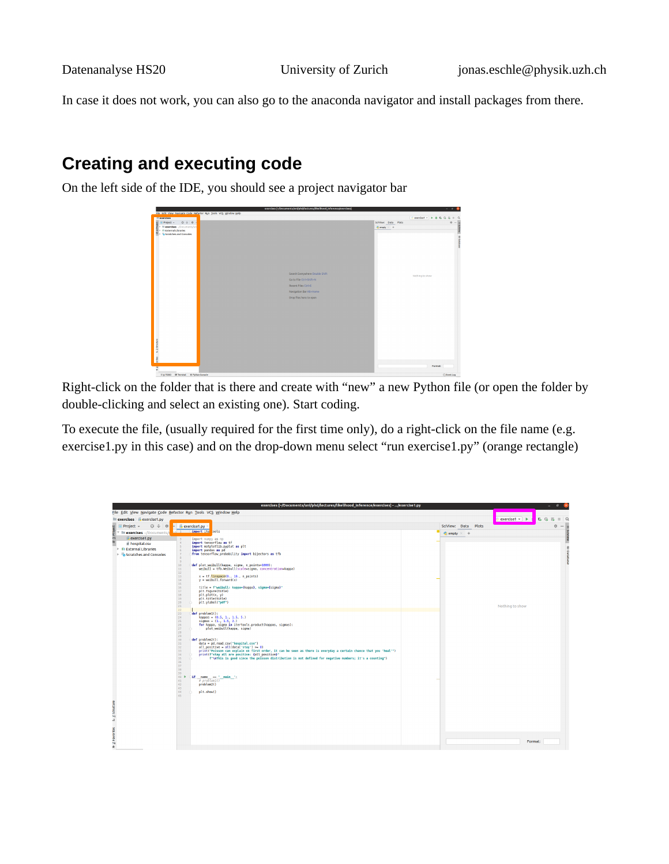In case it does not work, you can also go to the anaconda navigator and install packages from there.

### **Creating and executing code**

On the left side of the IDE, you should see a project navigator bar



Right-click on the folder that is there and create with "new" a new Python file (or open the folder by double-clicking and select an existing one). Start coding.

To execute the file, (usually required for the first time only), do a right-click on the file name (e.g. exercise1.py in this case) and on the drop-down menu select "run exercise1.py" (orange rectangle)

|                                                                                                                                           | exercises [~/Documents/uni/phd/lectures/likelihood_inference/exercises] - /exercise1.py                                                                                                                                                                                                                                                                                                                                                                                                                                                                                                                                                                                                                                                                                                                                                                                                                                                                                                                                                                                                                                                                                                                                                                                                                                                                                                                                                         |                            | $\blacksquare$<br>$\mathbf{R}$                                                                 |
|-------------------------------------------------------------------------------------------------------------------------------------------|-------------------------------------------------------------------------------------------------------------------------------------------------------------------------------------------------------------------------------------------------------------------------------------------------------------------------------------------------------------------------------------------------------------------------------------------------------------------------------------------------------------------------------------------------------------------------------------------------------------------------------------------------------------------------------------------------------------------------------------------------------------------------------------------------------------------------------------------------------------------------------------------------------------------------------------------------------------------------------------------------------------------------------------------------------------------------------------------------------------------------------------------------------------------------------------------------------------------------------------------------------------------------------------------------------------------------------------------------------------------------------------------------------------------------------------------------|----------------------------|------------------------------------------------------------------------------------------------|
|                                                                                                                                           | File Edit View Navigate Code Refactor Run Tools VCS Window Help                                                                                                                                                                                                                                                                                                                                                                                                                                                                                                                                                                                                                                                                                                                                                                                                                                                                                                                                                                                                                                                                                                                                                                                                                                                                                                                                                                                 |                            |                                                                                                |
| exercises exercise1.py                                                                                                                    |                                                                                                                                                                                                                                                                                                                                                                                                                                                                                                                                                                                                                                                                                                                                                                                                                                                                                                                                                                                                                                                                                                                                                                                                                                                                                                                                                                                                                                                 |                            | exercise1 $\rightarrow$ $\rightarrow$<br>$C$ $C$<br>$\overline{m}$<br>$\Omega$<br>$\mathbb{R}$ |
| $\bigoplus$ $\div$ $\bigcirc$<br>Project -                                                                                                | $\bullet$ exercise1.py                                                                                                                                                                                                                                                                                                                                                                                                                                                                                                                                                                                                                                                                                                                                                                                                                                                                                                                                                                                                                                                                                                                                                                                                                                                                                                                                                                                                                          | SciView: Data<br>Plots     | ☆ -                                                                                            |
| exercises -/Documents/                                                                                                                    |                                                                                                                                                                                                                                                                                                                                                                                                                                                                                                                                                                                                                                                                                                                                                                                                                                                                                                                                                                                                                                                                                                                                                                                                                                                                                                                                                                                                                                                 | $\bullet$ empty $\times$ + |                                                                                                |
| E Thuolect<br>exercise1.py<br>il hospital.csv<br><b>In External Libraries</b><br>$\triangleright$ $\triangleright$ Scratches and Consoles | import ite ools<br>import numpy as np<br>import tensorflow as tf<br>import matplotlib.pyplot as plt<br>import pandas as pd<br>R.<br>from tensorflow probability import bijectors as tfb<br>$\overline{7}$<br>$\mathbb{R}$<br>9<br>10<br>def plot weibull(kappa, sigma, n points=1000):<br>weibull = tfb.Weibull(scale=sigma, concentration=kappa)<br>11<br>$12$<br>13 <sup>°</sup><br>$x = tf,$ linspace(0., 10., n points)<br>$v = weight(1, forward(x))$<br>14<br>15<br>title - f"weibull: kappa={kappa}, sigma={sigma}"<br>16<br>plt.figure(title)<br>$17$<br>plt.plot(x, y)<br>18<br>plt.title(title)<br>19<br>plt.vlabel("pdf")<br>20<br>21<br>22<br>23<br>def problem1():<br>24<br>kappas = (0.5, 1., 1.5, 5.)<br>25<br>signas = $(1., 1.5, 2.)$<br>for kappa, signa in itertools.product(kappas, signas):<br>26<br>plot weibull(kappa, signa)<br>27<br>28<br>29<br>def problem2():<br>30<br>data = pd.read csv("hospital.csv")<br>31<br>all positive = $all(data['stay'] > = 0)$<br>32<br>print("Poisson can explain on first order, it can be seen as there is everyday a certain chance that you 'heal'")<br>33<br>print(f"stay all are positive: {all positive}"<br>34<br>f"\nThis is good since the poisson distribution is not defined for negative numbers; it's a counting")<br>35<br>36<br>37<br>38<br>39<br>if name == " main ";<br>40 P<br># problem1()<br>41<br>problem <sub>2()</sub><br>42<br>43<br>plt.show()<br>44.<br>45 |                            | Nothing to show                                                                                |
| A 2-Favories = 2-Structure                                                                                                                |                                                                                                                                                                                                                                                                                                                                                                                                                                                                                                                                                                                                                                                                                                                                                                                                                                                                                                                                                                                                                                                                                                                                                                                                                                                                                                                                                                                                                                                 |                            | Format:                                                                                        |